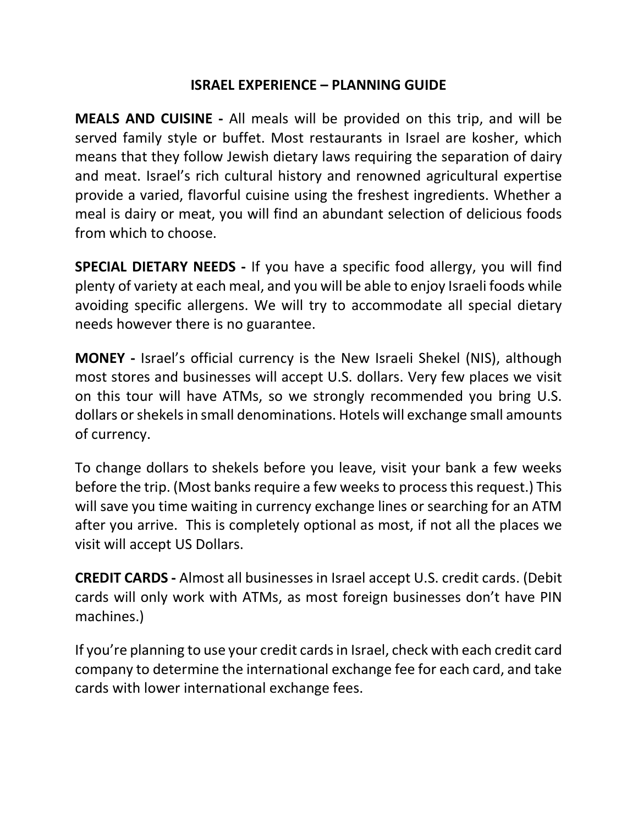## ISRAEL EXPERIENCE – PLANNING GUIDE

MEALS AND CUISINE - All meals will be provided on this trip, and will be served family style or buffet. Most restaurants in Israel are kosher, which means that they follow Jewish dietary laws requiring the separation of dairy and meat. Israel's rich cultural history and renowned agricultural expertise provide a varied, flavorful cuisine using the freshest ingredients. Whether a meal is dairy or meat, you will find an abundant selection of delicious foods from which to choose.

SPECIAL DIETARY NEEDS - If you have a specific food allergy, you will find plenty of variety at each meal, and you will be able to enjoy Israeli foods while avoiding specific allergens. We will try to accommodate all special dietary needs however there is no guarantee.

MONEY - Israel's official currency is the New Israeli Shekel (NIS), although most stores and businesses will accept U.S. dollars. Very few places we visit on this tour will have ATMs, so we strongly recommended you bring U.S. dollars or shekels in small denominations. Hotels will exchange small amounts of currency.

To change dollars to shekels before you leave, visit your bank a few weeks before the trip. (Most banks require a few weeks to process this request.) This will save you time waiting in currency exchange lines or searching for an ATM after you arrive. This is completely optional as most, if not all the places we visit will accept US Dollars.

CREDIT CARDS - Almost all businesses in Israel accept U.S. credit cards. (Debit cards will only work with ATMs, as most foreign businesses don't have PIN machines.)

If you're planning to use your credit cards in Israel, check with each credit card company to determine the international exchange fee for each card, and take cards with lower international exchange fees.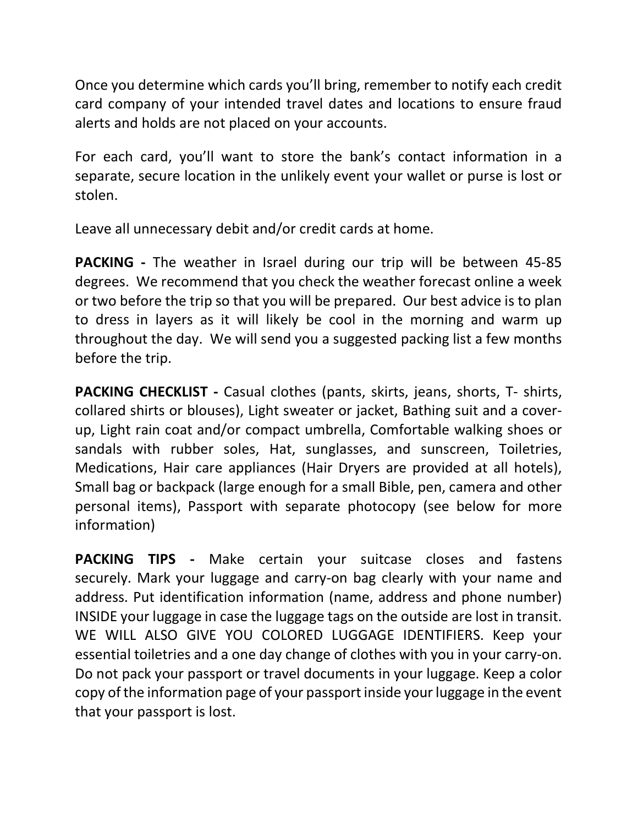Once you determine which cards you'll bring, remember to notify each credit card company of your intended travel dates and locations to ensure fraud alerts and holds are not placed on your accounts.

For each card, you'll want to store the bank's contact information in a separate, secure location in the unlikely event your wallet or purse is lost or stolen.

Leave all unnecessary debit and/or credit cards at home.

PACKING - The weather in Israel during our trip will be between 45-85 degrees. We recommend that you check the weather forecast online a week or two before the trip so that you will be prepared. Our best advice is to plan to dress in layers as it will likely be cool in the morning and warm up throughout the day. We will send you a suggested packing list a few months before the trip.

PACKING CHECKLIST - Casual clothes (pants, skirts, jeans, shorts, T- shirts, collared shirts or blouses), Light sweater or jacket, Bathing suit and a coverup, Light rain coat and/or compact umbrella, Comfortable walking shoes or sandals with rubber soles, Hat, sunglasses, and sunscreen, Toiletries, Medications, Hair care appliances (Hair Dryers are provided at all hotels), Small bag or backpack (large enough for a small Bible, pen, camera and other personal items), Passport with separate photocopy (see below for more information)

PACKING TIPS - Make certain your suitcase closes and fastens securely. Mark your luggage and carry-on bag clearly with your name and address. Put identification information (name, address and phone number) INSIDE your luggage in case the luggage tags on the outside are lost in transit. WE WILL ALSO GIVE YOU COLORED LUGGAGE IDENTIFIERS. Keep your essential toiletries and a one day change of clothes with you in your carry-on. Do not pack your passport or travel documents in your luggage. Keep a color copy of the information page of your passport inside your luggage in the event that your passport is lost.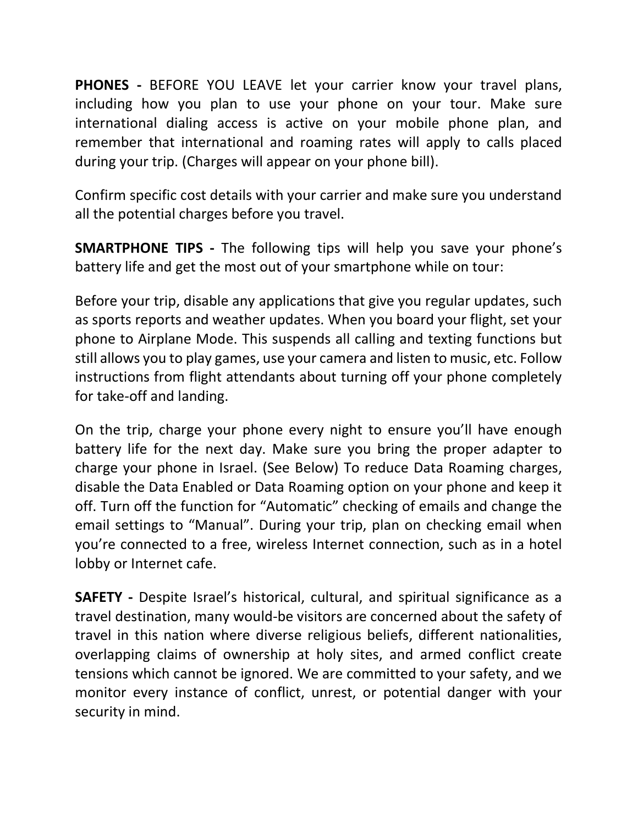PHONES - BEFORE YOU LEAVE let your carrier know your travel plans, including how you plan to use your phone on your tour. Make sure international dialing access is active on your mobile phone plan, and remember that international and roaming rates will apply to calls placed during your trip. (Charges will appear on your phone bill).

Confirm specific cost details with your carrier and make sure you understand all the potential charges before you travel.

SMARTPHONE TIPS - The following tips will help you save your phone's battery life and get the most out of your smartphone while on tour:

Before your trip, disable any applications that give you regular updates, such as sports reports and weather updates. When you board your flight, set your phone to Airplane Mode. This suspends all calling and texting functions but still allows you to play games, use your camera and listen to music, etc. Follow instructions from flight attendants about turning off your phone completely for take-off and landing.

On the trip, charge your phone every night to ensure you'll have enough battery life for the next day. Make sure you bring the proper adapter to charge your phone in Israel. (See Below) To reduce Data Roaming charges, disable the Data Enabled or Data Roaming option on your phone and keep it off. Turn off the function for "Automatic" checking of emails and change the email settings to "Manual". During your trip, plan on checking email when you're connected to a free, wireless Internet connection, such as in a hotel lobby or Internet cafe.

SAFETY - Despite Israel's historical, cultural, and spiritual significance as a travel destination, many would-be visitors are concerned about the safety of travel in this nation where diverse religious beliefs, different nationalities, overlapping claims of ownership at holy sites, and armed conflict create tensions which cannot be ignored. We are committed to your safety, and we monitor every instance of conflict, unrest, or potential danger with your security in mind.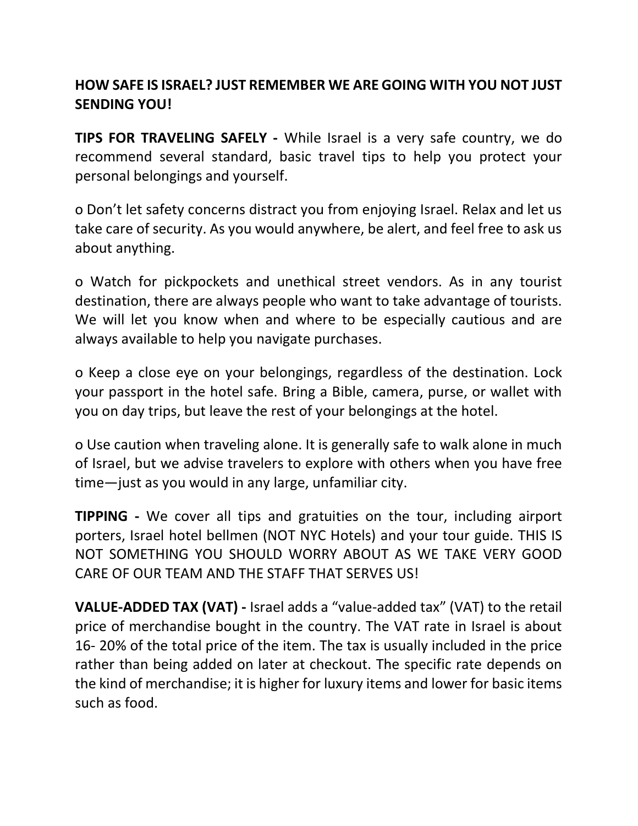## HOW SAFE IS ISRAEL? JUST REMEMBER WE ARE GOING WITH YOU NOT JUST SENDING YOU!

TIPS FOR TRAVELING SAFELY - While Israel is a very safe country, we do recommend several standard, basic travel tips to help you protect your personal belongings and yourself.

o Don't let safety concerns distract you from enjoying Israel. Relax and let us take care of security. As you would anywhere, be alert, and feel free to ask us about anything.

o Watch for pickpockets and unethical street vendors. As in any tourist destination, there are always people who want to take advantage of tourists. We will let you know when and where to be especially cautious and are always available to help you navigate purchases.

o Keep a close eye on your belongings, regardless of the destination. Lock your passport in the hotel safe. Bring a Bible, camera, purse, or wallet with you on day trips, but leave the rest of your belongings at the hotel.

o Use caution when traveling alone. It is generally safe to walk alone in much of Israel, but we advise travelers to explore with others when you have free time—just as you would in any large, unfamiliar city.

TIPPING - We cover all tips and gratuities on the tour, including airport porters, Israel hotel bellmen (NOT NYC Hotels) and your tour guide. THIS IS NOT SOMETHING YOU SHOULD WORRY ABOUT AS WE TAKE VERY GOOD CARE OF OUR TEAM AND THE STAFF THAT SERVES US!

VALUE-ADDED TAX (VAT) - Israel adds a "value-added tax" (VAT) to the retail price of merchandise bought in the country. The VAT rate in Israel is about 16- 20% of the total price of the item. The tax is usually included in the price rather than being added on later at checkout. The specific rate depends on the kind of merchandise; it is higher for luxury items and lower for basic items such as food.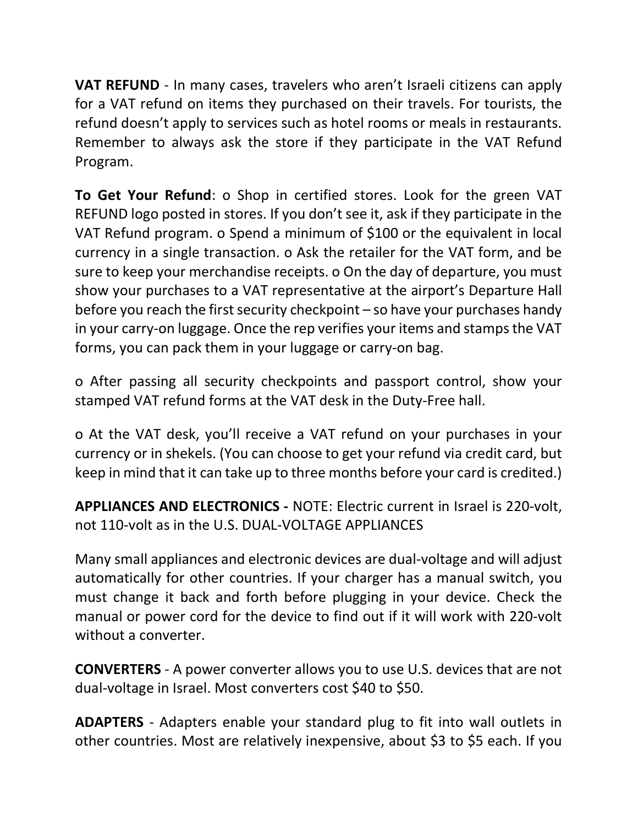VAT REFUND - In many cases, travelers who aren't Israeli citizens can apply for a VAT refund on items they purchased on their travels. For tourists, the refund doesn't apply to services such as hotel rooms or meals in restaurants. Remember to always ask the store if they participate in the VAT Refund Program.

To Get Your Refund: o Shop in certified stores. Look for the green VAT REFUND logo posted in stores. If you don't see it, ask if they participate in the VAT Refund program. o Spend a minimum of \$100 or the equivalent in local currency in a single transaction. o Ask the retailer for the VAT form, and be sure to keep your merchandise receipts. o On the day of departure, you must show your purchases to a VAT representative at the airport's Departure Hall before you reach the first security checkpoint – so have your purchases handy in your carry-on luggage. Once the rep verifies your items and stamps the VAT forms, you can pack them in your luggage or carry-on bag.

o After passing all security checkpoints and passport control, show your stamped VAT refund forms at the VAT desk in the Duty-Free hall.

o At the VAT desk, you'll receive a VAT refund on your purchases in your currency or in shekels. (You can choose to get your refund via credit card, but keep in mind that it can take up to three months before your card is credited.)

APPLIANCES AND ELECTRONICS - NOTE: Electric current in Israel is 220-volt, not 110-volt as in the U.S. DUAL-VOLTAGE APPLIANCES

Many small appliances and electronic devices are dual-voltage and will adjust automatically for other countries. If your charger has a manual switch, you must change it back and forth before plugging in your device. Check the manual or power cord for the device to find out if it will work with 220-volt without a converter.

CONVERTERS - A power converter allows you to use U.S. devices that are not dual-voltage in Israel. Most converters cost \$40 to \$50.

ADAPTERS - Adapters enable your standard plug to fit into wall outlets in other countries. Most are relatively inexpensive, about \$3 to \$5 each. If you